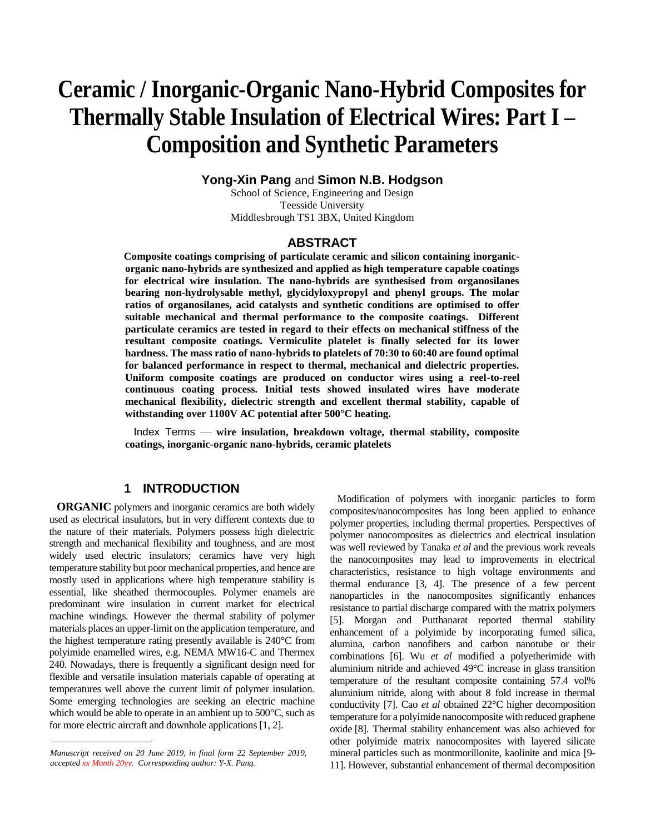# **Ceramic / Inorganic-Organic Nano-Hybrid Composites for Thermally Stable Insulation of Electrical Wires: Part I – Composition and Synthetic Parameters**

**Yong-Xin Pang** and **Simon N.B. Hodgson**

School of Science, Engineering and Design Teesside University Middlesbrough TS1 3BX, United Kingdom

## **ABSTRACT**

**Composite coatings comprising of particulate ceramic and silicon containing inorganicorganic nano-hybrids are synthesized and applied as high temperature capable coatings for electrical wire insulation. The nano-hybrids are synthesised from organosilanes bearing non-hydrolysable methyl, glycidyloxypropyl and phenyl groups. The molar ratios of organosilanes, acid catalysts and synthetic conditions are optimised to offer suitable mechanical and thermal performance to the composite coatings. Different particulate ceramics are tested in regard to their effects on mechanical stiffness of the resultant composite coatings. Vermiculite platelet is finally selected for its lower hardness. The mass ratio of nano-hybrids to platelets of 70:30 to 60:40 are found optimal for balanced performance in respect to thermal, mechanical and dielectric properties. Uniform composite coatings are produced on conductor wires using a reel-to-reel continuous coating process. Initial tests showed insulated wires have moderate mechanical flexibility, dielectric strength and excellent thermal stability, capable of withstanding over 1100V AC potential after 500°C heating.** 

 Index Terms — **wire insulation, breakdown voltage, thermal stability, composite coatings, inorganic-organic nano-hybrids, ceramic platelets**

## **1 INTRODUCTION**

**ORGANIC** polymers and inorganic ceramics are both widely used as electrical insulators, but in very different contexts due to the nature of their materials. Polymers possess high dielectric strength and mechanical flexibility and toughness, and are most widely used electric insulators; ceramics have very high temperature stability but poor mechanical properties, and hence are mostly used in applications where high temperature stability is essential, like sheathed thermocouples. Polymer enamels are predominant wire insulation in current market for electrical machine windings. However the thermal stability of polymer materials places an upper-limit on the application temperature, and the highest temperature rating presently available is 240°C from polyimide enamelled wires, e.g. NEMA MW16-C and Thermex 240. Nowadays, there is frequently a significant design need for flexible and versatile insulation materials capable of operating at temperatures well above the current limit of polymer insulation. Some emerging technologies are seeking an electric machine which would be able to operate in an ambient up to 500°C, such as for more electric aircraft and downhole applications [1, 2].

Modification of polymers with inorganic particles to form composites/nanocomposites has long been applied to enhance polymer properties, including thermal properties. Perspectives of polymer nanocomposites as dielectrics and electrical insulation was well reviewed by Tanaka *et al* and the previous work reveals the nanocomposites may lead to improvements in electrical characteristics, resistance to high voltage environments and thermal endurance [3, 4]. The presence of a few percent nanoparticles in the nanocomposites significantly enhances resistance to partial discharge compared with the matrix polymers [5]. Morgan and Putthanarat reported thermal stability enhancement of a polyimide by incorporating fumed silica, alumina, carbon nanofibers and carbon nanotube or their combinations [6]. Wu *et al* modified a polyetherimide with aluminium nitride and achieved 49°C increase in glass transition temperature of the resultant composite containing 57.4 vol% aluminium nitride, along with about 8 fold increase in thermal conductivity [7]. Cao *et al* obtained 22°C higher decomposition temperature for a polyimide nanocomposite with reduced graphene oxide [8]. Thermal stability enhancement was also achieved for other polyimide matrix nanocomposites with layered silicate mineral particles such as montmorillonite, kaolinite and mica [9- 11]. However, substantial enhancement of thermal decomposition

*Manuscript received on 20 June 2019, in final form 22 September 2019, accepted xx Month 20yy. Corresponding author: Y-X. Pang.*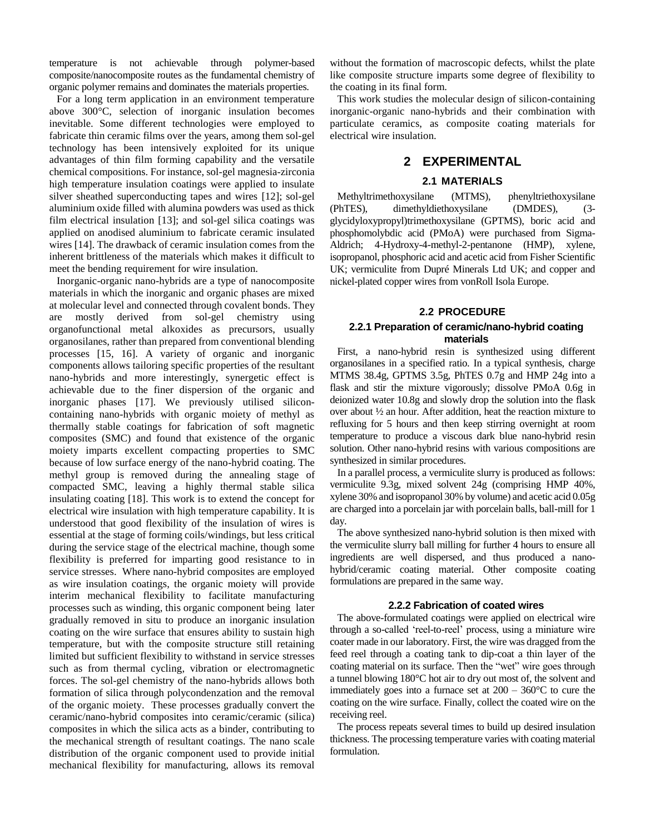temperature is not achievable through polymer-based composite/nanocomposite routes as the fundamental chemistry of organic polymer remains and dominates the materials properties.

For a long term application in an environment temperature above 300°C, selection of inorganic insulation becomes inevitable. Some different technologies were employed to fabricate thin ceramic films over the years, among them sol-gel technology has been intensively exploited for its unique advantages of thin film forming capability and the versatile chemical compositions. For instance, sol-gel magnesia-zirconia high temperature insulation coatings were applied to insulate silver sheathed superconducting tapes and wires [12]; sol-gel aluminium oxide filled with alumina powders was used as thick film electrical insulation [13]; and sol-gel silica coatings was applied on anodised aluminium to fabricate ceramic insulated wires [14]. The drawback of ceramic insulation comes from the inherent brittleness of the materials which makes it difficult to meet the bending requirement for wire insulation.

Inorganic-organic nano-hybrids are a type of nanocomposite materials in which the inorganic and organic phases are mixed at molecular level and connected through covalent bonds. They are mostly derived from sol-gel chemistry using organofunctional metal alkoxides as precursors, usually organosilanes, rather than prepared from conventional blending processes [15, 16]. A variety of organic and inorganic components allows tailoring specific properties of the resultant nano-hybrids and more interestingly, synergetic effect is achievable due to the finer dispersion of the organic and inorganic phases [17]. We previously utilised siliconcontaining nano-hybrids with organic moiety of methyl as thermally stable coatings for fabrication of soft magnetic composites (SMC) and found that existence of the organic moiety imparts excellent compacting properties to SMC because of low surface energy of the nano-hybrid coating. The methyl group is removed during the annealing stage of compacted SMC, leaving a highly thermal stable silica insulating coating [18]. This work is to extend the concept for electrical wire insulation with high temperature capability. It is understood that good flexibility of the insulation of wires is essential at the stage of forming coils/windings, but less critical during the service stage of the electrical machine, though some flexibility is preferred for imparting good resistance to in service stresses. Where nano-hybrid composites are employed as wire insulation coatings, the organic moiety will provide interim mechanical flexibility to facilitate manufacturing processes such as winding, this organic component being later gradually removed in situ to produce an inorganic insulation coating on the wire surface that ensures ability to sustain high temperature, but with the composite structure still retaining limited but sufficient flexibility to withstand in service stresses such as from thermal cycling, vibration or electromagnetic forces. The sol-gel chemistry of the nano-hybrids allows both formation of silica through polycondenzation and the removal of the organic moiety. These processes gradually convert the ceramic/nano-hybrid composites into ceramic/ceramic (silica) composites in which the silica acts as a binder, contributing to the mechanical strength of resultant coatings. The nano scale distribution of the organic component used to provide initial mechanical flexibility for manufacturing, allows its removal

without the formation of macroscopic defects, whilst the plate like composite structure imparts some degree of flexibility to the coating in its final form.

This work studies the molecular design of silicon-containing inorganic-organic nano-hybrids and their combination with particulate ceramics, as composite coating materials for electrical wire insulation.

## **2 EXPERIMENTAL**

#### **2.1 MATERIALS**

Methyltrimethoxysilane (MTMS), phenyltriethoxysilane (PhTES), dimethyldiethoxysilane (DMDES), (3 glycidyloxypropyl)trimethoxysilane (GPTMS), boric acid and phosphomolybdic acid (PMoA) were purchased from Sigma-Aldrich; 4-Hydroxy-4-methyl-2-pentanone (HMP), xylene, isopropanol, phosphoric acid and acetic acid from Fisher Scientific UK; vermiculite from Dupré Minerals Ltd UK; and copper and nickel-plated copper wires from vonRoll Isola Europe.

#### **2.2 PROCEDURE**

#### **2.2.1 Preparation of ceramic/nano-hybrid coating materials**

First, a nano-hybrid resin is synthesized using different organosilanes in a specified ratio. In a typical synthesis, charge MTMS 38.4g, GPTMS 3.5g, PhTES 0.7g and HMP 24g into a flask and stir the mixture vigorously; dissolve PMoA 0.6g in deionized water 10.8g and slowly drop the solution into the flask over about ½ an hour. After addition, heat the reaction mixture to refluxing for 5 hours and then keep stirring overnight at room temperature to produce a viscous dark blue nano-hybrid resin solution. Other nano-hybrid resins with various compositions are synthesized in similar procedures.

In a parallel process, a vermiculite slurry is produced as follows: vermiculite 9.3g, mixed solvent 24g (comprising HMP 40%, xylene 30% and isopropanol 30% by volume) and acetic acid 0.05g are charged into a porcelain jar with porcelain balls, ball-mill for 1 day.

The above synthesized nano-hybrid solution is then mixed with the vermiculite slurry ball milling for further 4 hours to ensure all ingredients are well dispersed, and thus produced a nanohybrid/ceramic coating material. Other composite coating formulations are prepared in the same way.

#### **2.2.2 Fabrication of coated wires**

The above-formulated coatings were applied on electrical wire through a so-called 'reel-to-reel' process, using a miniature wire coater made in our laboratory. First, the wire was dragged from the feed reel through a coating tank to dip-coat a thin layer of the coating material on its surface. Then the "wet" wire goes through a tunnel blowing 180°C hot air to dry out most of, the solvent and immediately goes into a furnace set at  $200 - 360^{\circ}$ C to cure the coating on the wire surface. Finally, collect the coated wire on the receiving reel.

The process repeats several times to build up desired insulation thickness. The processing temperature varies with coating material formulation.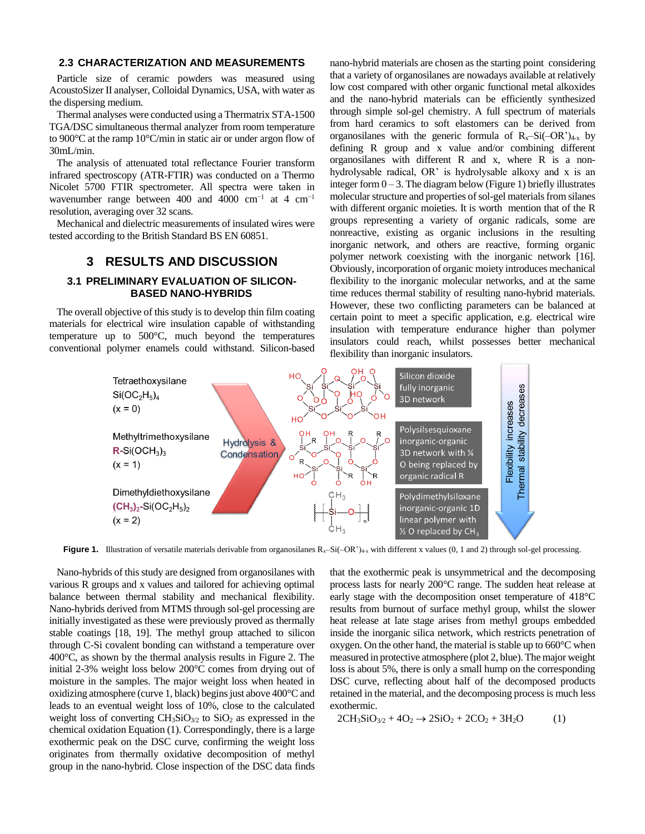### **2.3 CHARACTERIZATION AND MEASUREMENTS**

Particle size of ceramic powders was measured using AcoustoSizer II analyser, Colloidal Dynamics, USA, with water as the dispersing medium.

Thermal analyses were conducted using a Thermatrix STA-1500 TGA/DSC simultaneous thermal analyzer from room temperature to 900°C at the ramp 10°C/min in static air or under argon flow of 30mL/min.

The analysis of attenuated total reflectance Fourier transform infrared spectroscopy (ATR-FTIR) was conducted on a Thermo Nicolet 5700 FTIR spectrometer. All spectra were taken in wavenumber range between 400 and 4000 cm−1 at 4 cm−1 resolution, averaging over 32 scans.

Mechanical and dielectric measurements of insulated wires were tested according to the British Standard BS EN 60851.

## **3 RESULTS AND DISCUSSION**

#### **3.1 PRELIMINARY EVALUATION OF SILICON-BASED NANO-HYBRIDS**

The overall objective of this study is to develop thin film coating materials for electrical wire insulation capable of withstanding temperature up to 500°C, much beyond the temperatures conventional polymer enamels could withstand. Silicon-based nano-hybrid materials are chosen as the starting point considering that a variety of organosilanes are nowadays available at relatively low cost compared with other organic functional metal alkoxides and the nano-hybrid materials can be efficiently synthesized through simple sol-gel chemistry. A full spectrum of materials from hard ceramics to soft elastomers can be derived from organosilanes with the generic formula of  $R_x-Si(-OR^2)_{4-x}$  by defining R group and x value and/or combining different organosilanes with different R and x, where R is a nonhydrolysable radical, OR' is hydrolysable alkoxy and x is an integer form  $0 - 3$ . The diagram below (Figure 1) briefly illustrates molecular structure and properties of sol-gel materials from silanes with different organic moieties. It is worth mention that of the R groups representing a variety of organic radicals, some are nonreactive, existing as organic inclusions in the resulting inorganic network, and others are reactive, forming organic polymer network coexisting with the inorganic network [16]. Obviously, incorporation of organic moiety introduces mechanical flexibility to the inorganic molecular networks, and at the same time reduces thermal stability of resulting nano-hybrid materials. However, these two conflicting parameters can be balanced at certain point to meet a specific application, e.g. electrical wire insulation with temperature endurance higher than polymer insulators could reach, whilst possesses better mechanical flexibility than inorganic insulators.



**Figure 1.** Illustration of versatile materials derivable from organosilanes  $R_x-Si(-OR')_{4-x}$  with different x values (0, 1 and 2) through sol-gel processing.

Nano-hybrids of this study are designed from organosilanes with various R groups and x values and tailored for achieving optimal balance between thermal stability and mechanical flexibility. Nano-hybrids derived from MTMS through sol-gel processing are initially investigated as these were previously proved as thermally stable coatings [18, 19]. The methyl group attached to silicon through C-Si covalent bonding can withstand a temperature over 400°C, as shown by the thermal analysis results in Figure 2. The initial 2-3% weight loss below 200°C comes from drying out of moisture in the samples. The major weight loss when heated in oxidizing atmosphere (curve 1, black) begins just above 400°C and leads to an eventual weight loss of 10%, close to the calculated weight loss of converting CH<sub>3</sub>SiO<sub>3/2</sub> to SiO<sub>2</sub> as expressed in the chemical oxidation Equation (1). Correspondingly, there is a large exothermic peak on the DSC curve, confirming the weight loss originates from thermally oxidative decomposition of methyl group in the nano-hybrid. Close inspection of the DSC data finds that the exothermic peak is unsymmetrical and the decomposing process lasts for nearly 200°C range. The sudden heat release at early stage with the decomposition onset temperature of 418°C results from burnout of surface methyl group, whilst the slower heat release at late stage arises from methyl groups embedded inside the inorganic silica network, which restricts penetration of oxygen. On the other hand, the material is stable up to 660°C when measured in protective atmosphere (plot 2, blue). The major weight loss is about 5%, there is only a small hump on the corresponding DSC curve, reflecting about half of the decomposed products retained in the material, and the decomposing process is much less exothermic.

$$
2CH3SiO3/2 + 4O2 \to 2SiO2 + 2CO2 + 3H2O
$$
 (1)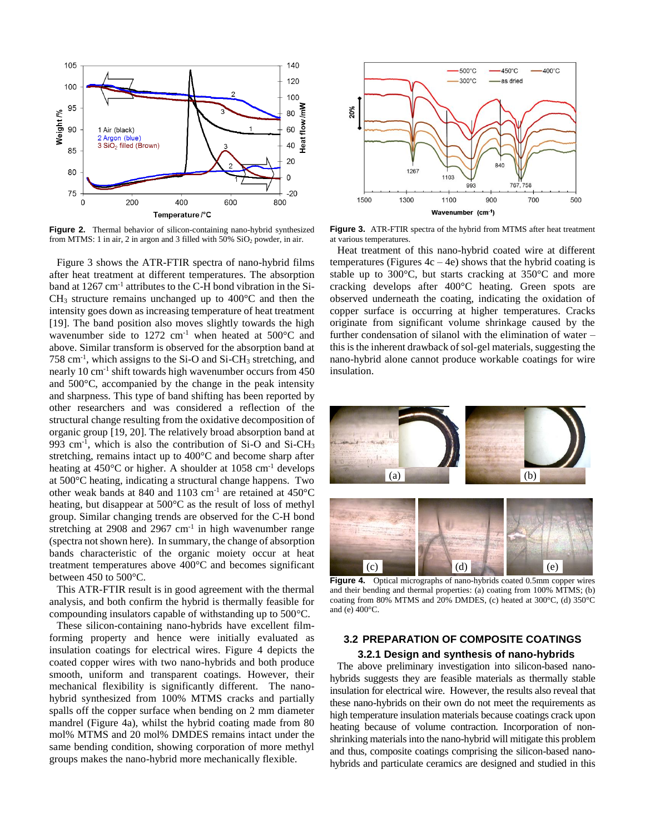

**Figure 2.** Thermal behavior of silicon-containing nano-hybrid synthesized from MTMS: 1 in air, 2 in argon and 3 filled with  $50\%$  SiO<sub>2</sub> powder, in air.

Figure 3 shows the ATR-FTIR spectra of nano-hybrid films after heat treatment at different temperatures. The absorption band at 1267 cm<sup>-1</sup> attributes to the C-H bond vibration in the Si- $CH<sub>3</sub>$  structure remains unchanged up to 400 $^{\circ}$ C and then the intensity goes down as increasing temperature of heat treatment [19]. The band position also moves slightly towards the high wavenumber side to  $1272 \text{ cm}^{-1}$  when heated at  $500^{\circ}\text{C}$  and above. Similar transform is observed for the absorption band at 758 cm-1 , which assigns to the Si-O and Si-CH<sup>3</sup> stretching, and nearly 10 cm<sup>-1</sup> shift towards high wavenumber occurs from 450 and 500°C, accompanied by the change in the peak intensity and sharpness. This type of band shifting has been reported by other researchers and was considered a reflection of the structural change resulting from the oxidative decomposition of organic group [19, 20]. The relatively broad absorption band at 993 cm<sup>-1</sup>, which is also the contribution of Si-O and Si-CH<sub>3</sub> stretching, remains intact up to 400°C and become sharp after heating at  $450^{\circ}$ C or higher. A shoulder at  $1058 \text{ cm}^{-1}$  develops at 500°C heating, indicating a structural change happens. Two other weak bands at 840 and 1103 cm<sup>-1</sup> are retained at 450°C heating, but disappear at 500°C as the result of loss of methyl group. Similar changing trends are observed for the C-H bond stretching at 2908 and 2967  $cm<sup>-1</sup>$  in high wavenumber range (spectra not shown here). In summary, the change of absorption bands characteristic of the organic moiety occur at heat treatment temperatures above 400°C and becomes significant between 450 to 500°C.

This ATR-FTIR result is in good agreement with the thermal analysis, and both confirm the hybrid is thermally feasible for compounding insulators capable of withstanding up to 500°C.

These silicon-containing nano-hybrids have excellent filmforming property and hence were initially evaluated as insulation coatings for electrical wires. Figure 4 depicts the coated copper wires with two nano-hybrids and both produce smooth, uniform and transparent coatings. However, their mechanical flexibility is significantly different. The nanohybrid synthesized from 100% MTMS cracks and partially spalls off the copper surface when bending on 2 mm diameter mandrel (Figure 4a), whilst the hybrid coating made from 80 mol% MTMS and 20 mol% DMDES remains intact under the same bending condition, showing corporation of more methyl groups makes the nano-hybrid more mechanically flexible.



**Figure 3.** ATR-FTIR spectra of the hybrid from MTMS after heat treatment at various temperatures.

Heat treatment of this nano-hybrid coated wire at different temperatures (Figures  $4c - 4e$ ) shows that the hybrid coating is stable up to 300°C, but starts cracking at 350°C and more cracking develops after 400°C heating. Green spots are observed underneath the coating, indicating the oxidation of copper surface is occurring at higher temperatures. Cracks originate from significant volume shrinkage caused by the further condensation of silanol with the elimination of water – this is the inherent drawback of sol-gel materials, suggesting the nano-hybrid alone cannot produce workable coatings for wire insulation.



**Figure 4.** Optical micrographs of nano-hybrids coated 0.5mm copper wires and their bending and thermal properties: (a) coating from 100% MTMS; (b) coating from 80% MTMS and 20% DMDES, (c) heated at 300°C, (d) 350°C and (e)  $400^{\circ}$ C.

## **3.2 PREPARATION OF COMPOSITE COATINGS 3.2.1 Design and synthesis of nano-hybrids**

The above preliminary investigation into silicon-based nanohybrids suggests they are feasible materials as thermally stable insulation for electrical wire. However, the results also reveal that these nano-hybrids on their own do not meet the requirements as high temperature insulation materials because coatings crack upon heating because of volume contraction. Incorporation of nonshrinking materials into the nano-hybrid will mitigate this problem and thus, composite coatings comprising the silicon-based nanohybrids and particulate ceramics are designed and studied in this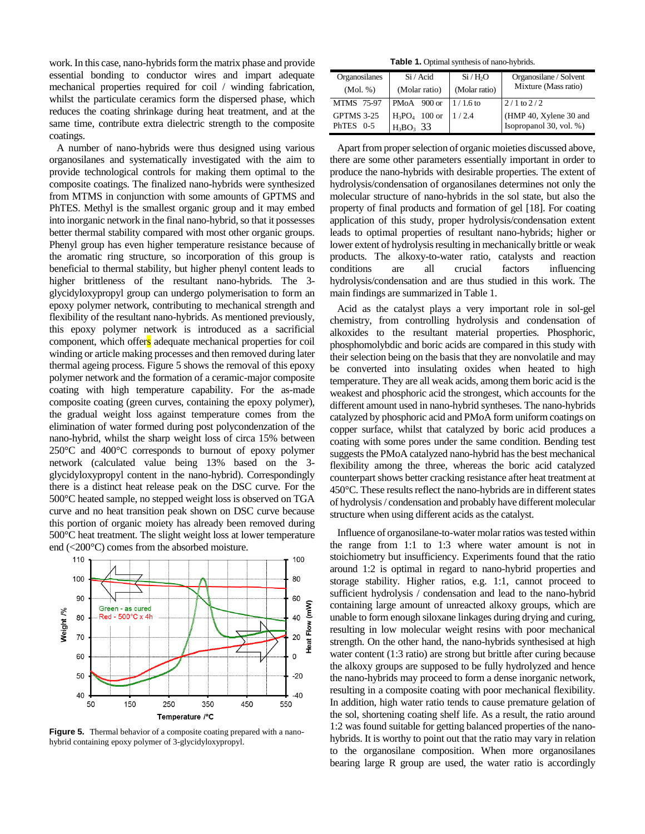work. In this case, nano-hybrids form the matrix phase and provide essential bonding to conductor wires and impart adequate mechanical properties required for coil / winding fabrication, whilst the particulate ceramics form the dispersed phase, which reduces the coating shrinkage during heat treatment, and at the same time, contribute extra dielectric strength to the composite coatings.

A number of nano-hybrids were thus designed using various organosilanes and systematically investigated with the aim to provide technological controls for making them optimal to the composite coatings. The finalized nano-hybrids were synthesized from MTMS in conjunction with some amounts of GPTMS and PhTES. Methyl is the smallest organic group and it may embed into inorganic network in the final nano-hybrid, so that it possesses better thermal stability compared with most other organic groups. Phenyl group has even higher temperature resistance because of the aromatic ring structure, so incorporation of this group is beneficial to thermal stability, but higher phenyl content leads to higher brittleness of the resultant nano-hybrids. The 3 glycidyloxypropyl group can undergo polymerisation to form an epoxy polymer network, contributing to mechanical strength and flexibility of the resultant nano-hybrids. As mentioned previously, this epoxy polymer network is introduced as a sacrificial component, which offers adequate mechanical properties for coil winding or article making processes and then removed during later thermal ageing process. Figure 5 shows the removal of this epoxy polymer network and the formation of a ceramic-major composite coating with high temperature capability. For the as-made composite coating (green curves, containing the epoxy polymer), the gradual weight loss against temperature comes from the elimination of water formed during post polycondenzation of the nano-hybrid, whilst the sharp weight loss of circa 15% between 250°C and 400°C corresponds to burnout of epoxy polymer network (calculated value being 13% based on the 3 glycidyloxypropyl content in the nano-hybrid). Correspondingly there is a distinct heat release peak on the DSC curve. For the 500°C heated sample, no stepped weight loss is observed on TGA curve and no heat transition peak shown on DSC curve because this portion of organic moiety has already been removed during 500°C heat treatment. The slight weight loss at lower temperature end (<200°C) comes from the absorbed moisture.



**Figure 5.** Thermal behavior of a composite coating prepared with a nanohybrid containing epoxy polymer of 3-glycidyloxypropyl.

**Table 1.** Optimal synthesis of nano-hybrids.

| Organosilanes     | Si / Acid                               | Si/H <sub>2</sub> O | Organosilane / Solvent  |
|-------------------|-----------------------------------------|---------------------|-------------------------|
| (Mol. %)          | (Molar ratio)                           | (Molar ratio)       | Mixture (Mass ratio)    |
| <b>MTMS</b> 75-97 | PMoA $900 \text{ or } 1/1.6 \text{ to}$ |                     | $2/1$ to $2/2$          |
| GPTMS 3-25        | $H_3PO_4$ 100 or                        | 1/2.4               | (HMP 40, Xylene 30 and  |
| PhTES $0-5$       | $H_3BO_3$ 33                            |                     | Isopropanol 30, vol. %) |

Apart from proper selection of organic moieties discussed above, there are some other parameters essentially important in order to produce the nano-hybrids with desirable properties. The extent of hydrolysis/condensation of organosilanes determines not only the molecular structure of nano-hybrids in the sol state, but also the property of final products and formation of gel [18]. For coating application of this study, proper hydrolysis/condensation extent leads to optimal properties of resultant nano-hybrids; higher or lower extent of hydrolysis resulting in mechanically brittle or weak products. The alkoxy-to-water ratio, catalysts and reaction conditions are all crucial factors influencing hydrolysis/condensation and are thus studied in this work. The main findings are summarized in Table 1.

Acid as the catalyst plays a very important role in sol-gel chemistry, from controlling hydrolysis and condensation of alkoxides to the resultant material properties. Phosphoric, phosphomolybdic and boric acids are compared in this study with their selection being on the basis that they are nonvolatile and may be converted into insulating oxides when heated to high temperature. They are all weak acids, among them boric acid is the weakest and phosphoric acid the strongest, which accounts for the different amount used in nano-hybrid syntheses. The nano-hybrids catalyzed by phosphoric acid and PMoA form uniform coatings on copper surface, whilst that catalyzed by boric acid produces a coating with some pores under the same condition. Bending test suggests the PMoA catalyzed nano-hybrid has the best mechanical flexibility among the three, whereas the boric acid catalyzed counterpart shows better cracking resistance after heat treatment at 450°C. These results reflect the nano-hybrids are in different states of hydrolysis / condensation and probably have different molecular structure when using different acids as the catalyst.

Influence of organosilane-to-water molar ratios was tested within the range from 1:1 to 1:3 where water amount is not in stoichiometry but insufficiency. Experiments found that the ratio around 1:2 is optimal in regard to nano-hybrid properties and storage stability. Higher ratios, e.g. 1:1, cannot proceed to sufficient hydrolysis / condensation and lead to the nano-hybrid containing large amount of unreacted alkoxy groups, which are unable to form enough siloxane linkages during drying and curing, resulting in low molecular weight resins with poor mechanical strength. On the other hand, the nano-hybrids synthesised at high water content (1:3 ratio) are strong but brittle after curing because the alkoxy groups are supposed to be fully hydrolyzed and hence the nano-hybrids may proceed to form a dense inorganic network, resulting in a composite coating with poor mechanical flexibility. In addition, high water ratio tends to cause premature gelation of the sol, shortening coating shelf life. As a result, the ratio around 1:2 was found suitable for getting balanced properties of the nanohybrids. It is worthy to point out that the ratio may vary in relation to the organosilane composition. When more organosilanes bearing large R group are used, the water ratio is accordingly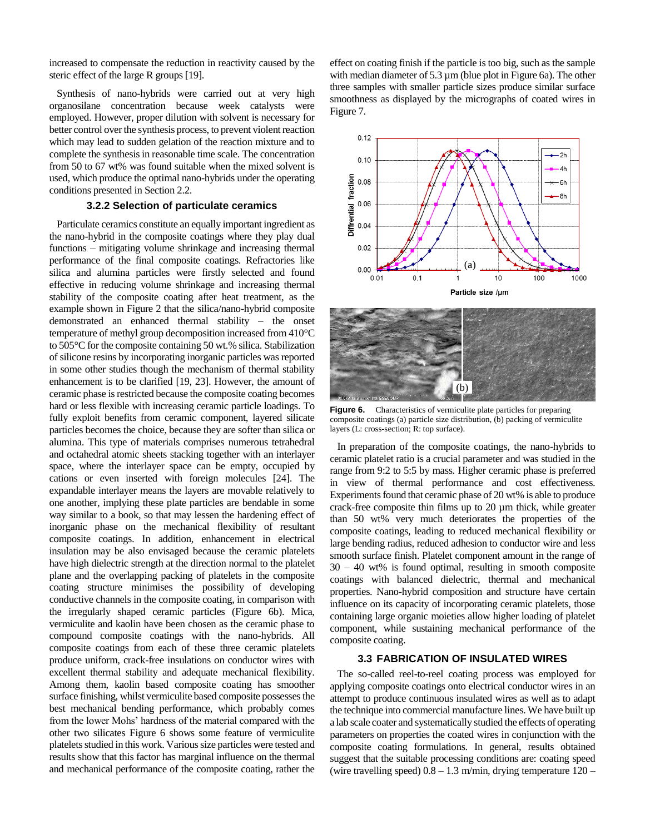increased to compensate the reduction in reactivity caused by the steric effect of the large R groups [19].

Synthesis of nano-hybrids were carried out at very high organosilane concentration because week catalysts were employed. However, proper dilution with solvent is necessary for better control over the synthesis process, to prevent violent reaction which may lead to sudden gelation of the reaction mixture and to complete the synthesis in reasonable time scale. The concentration from 50 to 67 wt% was found suitable when the mixed solvent is used, which produce the optimal nano-hybrids under the operating conditions presented in Section 2.2.

#### **3.2.2 Selection of particulate ceramics**

Particulate ceramics constitute an equally important ingredient as the nano-hybrid in the composite coatings where they play dual functions – mitigating volume shrinkage and increasing thermal performance of the final composite coatings. Refractories like silica and alumina particles were firstly selected and found effective in reducing volume shrinkage and increasing thermal stability of the composite coating after heat treatment, as the example shown in Figure 2 that the silica/nano-hybrid composite demonstrated an enhanced thermal stability – the onset temperature of methyl group decomposition increased from 410°C to 505°C for the composite containing 50 wt.% silica. Stabilization of silicone resins by incorporating inorganic particles was reported in some other studies though the mechanism of thermal stability enhancement is to be clarified [19, 23]. However, the amount of ceramic phase is restricted because the composite coating becomes hard or less flexible with increasing ceramic particle loadings. To fully exploit benefits from ceramic component, layered silicate particles becomes the choice, because they are softer than silica or alumina. This type of materials comprises numerous tetrahedral and octahedral atomic sheets stacking together with an interlayer space, where the interlayer space can be empty, occupied by cations or even inserted with foreign molecules [24]. The expandable interlayer means the layers are movable relatively to one another, implying these plate particles are bendable in some way similar to a book, so that may lessen the hardening effect of inorganic phase on the mechanical flexibility of resultant composite coatings. In addition, enhancement in electrical insulation may be also envisaged because the ceramic platelets have high dielectric strength at the direction normal to the platelet plane and the overlapping packing of platelets in the composite coating structure minimises the possibility of developing conductive channels in the composite coating, in comparison with the irregularly shaped ceramic particles (Figure 6b). Mica, vermiculite and kaolin have been chosen as the ceramic phase to compound composite coatings with the nano-hybrids. All composite coatings from each of these three ceramic platelets produce uniform, crack-free insulations on conductor wires with excellent thermal stability and adequate mechanical flexibility. Among them, kaolin based composite coating has smoother surface finishing, whilst vermiculite based composite possesses the best mechanical bending performance, which probably comes from the lower Mohs' hardness of the material compared with the other two silicates Figure 6 shows some feature of vermiculite platelets studied in this work. Various size particles were tested and results show that this factor has marginal influence on the thermal and mechanical performance of the composite coating, rather the effect on coating finish if the particle is too big, such as the sample with median diameter of 5.3  $\mu$ m (blue plot in Figure 6a). The other three samples with smaller particle sizes produce similar surface smoothness as displayed by the micrographs of coated wires in Figure 7.





**Figure 6.** Characteristics of vermiculite plate particles for preparing composite coatings (a) particle size distribution, (b) packing of vermiculite layers (L: cross-section; R: top surface).

In preparation of the composite coatings, the nano-hybrids to ceramic platelet ratio is a crucial parameter and was studied in the range from 9:2 to 5:5 by mass. Higher ceramic phase is preferred in view of thermal performance and cost effectiveness. Experiments found that ceramic phase of 20 wt% is able to produce crack-free composite thin films up to 20 µm thick, while greater than 50 wt% very much deteriorates the properties of the composite coatings, leading to reduced mechanical flexibility or large bending radius, reduced adhesion to conductor wire and less smooth surface finish. Platelet component amount in the range of 30 – 40 wt% is found optimal, resulting in smooth composite coatings with balanced dielectric, thermal and mechanical properties. Nano-hybrid composition and structure have certain influence on its capacity of incorporating ceramic platelets, those containing large organic moieties allow higher loading of platelet component, while sustaining mechanical performance of the composite coating.

### **3.3 FABRICATION OF INSULATED WIRES**

The so-called reel-to-reel coating process was employed for applying composite coatings onto electrical conductor wires in an attempt to produce continuous insulated wires as well as to adapt the technique into commercial manufacture lines. We have built up a lab scale coater and systematically studied the effects of operating parameters on properties the coated wires in conjunction with the composite coating formulations. In general, results obtained suggest that the suitable processing conditions are: coating speed (wire travelling speed)  $0.8 - 1.3$  m/min, drying temperature  $120 -$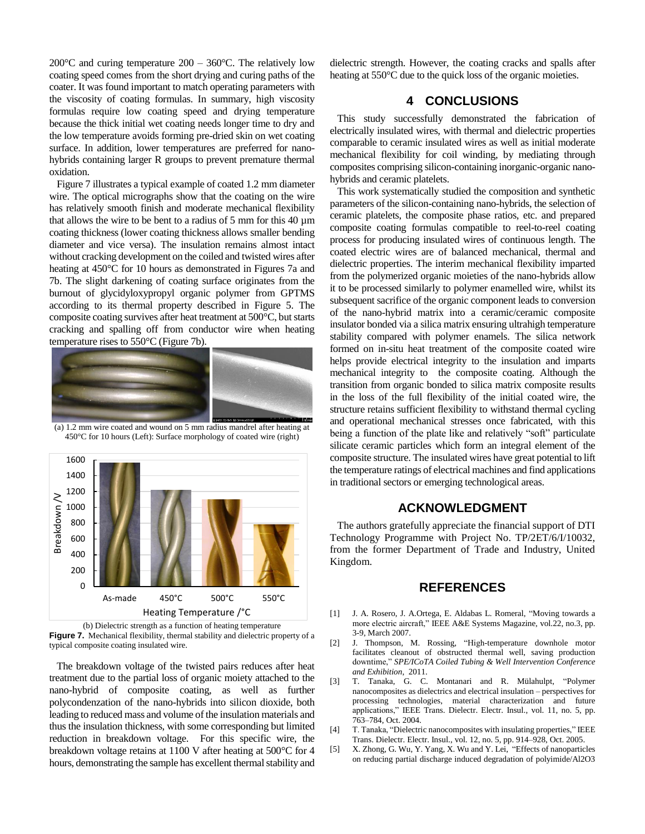200 $^{\circ}$ C and curing temperature 200 – 360 $^{\circ}$ C. The relatively low coating speed comes from the short drying and curing paths of the coater. It was found important to match operating parameters with the viscosity of coating formulas. In summary, high viscosity formulas require low coating speed and drying temperature because the thick initial wet coating needs longer time to dry and the low temperature avoids forming pre-dried skin on wet coating surface. In addition, lower temperatures are preferred for nanohybrids containing larger R groups to prevent premature thermal oxidation.

Figure 7 illustrates a typical example of coated 1.2 mm diameter wire. The optical micrographs show that the coating on the wire has relatively smooth finish and moderate mechanical flexibility that allows the wire to be bent to a radius of 5 mm for this 40 µm coating thickness (lower coating thickness allows smaller bending diameter and vice versa). The insulation remains almost intact without cracking development on the coiled and twisted wires after heating at 450 °C for 10 hours as demonstrated in Figures 7a and 7b. The slight darkening of coating surface originates from the burnout of glycidyloxypropyl organic polymer from GPTMS according to its thermal property described in Figure 5. The composite coating survives after heat treatment at 500°C, but starts cracking and spalling off from conductor wire when heating temperature rises to 550°C (Figure 7b).



(a) 1.2 mm wire coated and wound on 5 mm radius mandrel after heating at 450°C for 10 hours (Left): Surface morphology of coated wire (right)



(b) Dielectric strength as a function of heating temperature **Figure 7.** Mechanical flexibility, thermal stability and dielectric property of a typical composite coating insulated wire.

The breakdown voltage of the twisted pairs reduces after heat treatment due to the partial loss of organic moiety attached to the nano-hybrid of composite coating, as well as further polycondenzation of the nano-hybrids into silicon dioxide, both leading to reduced mass and volume of the insulation materials and thus the insulation thickness, with some corresponding but limited reduction in breakdown voltage. For this specific wire, the breakdown voltage retains at 1100 V after heating at 500°C for 4 hours, demonstrating the sample has excellent thermal stability and dielectric strength. However, the coating cracks and spalls after heating at 550°C due to the quick loss of the organic moieties.

## **4 CONCLUSIONS**

This study successfully demonstrated the fabrication of electrically insulated wires, with thermal and dielectric properties comparable to ceramic insulated wires as well as initial moderate mechanical flexibility for coil winding, by mediating through composites comprising silicon-containing inorganic-organic nanohybrids and ceramic platelets.

This work systematically studied the composition and synthetic parameters of the silicon-containing nano-hybrids, the selection of ceramic platelets, the composite phase ratios, etc. and prepared composite coating formulas compatible to reel-to-reel coating process for producing insulated wires of continuous length. The coated electric wires are of balanced mechanical, thermal and dielectric properties. The interim mechanical flexibility imparted from the polymerized organic moieties of the nano-hybrids allow it to be processed similarly to polymer enamelled wire, whilst its subsequent sacrifice of the organic component leads to conversion of the nano-hybrid matrix into a ceramic/ceramic composite insulator bonded via a silica matrix ensuring ultrahigh temperature stability compared with polymer enamels. The silica network formed on in-situ heat treatment of the composite coated wire helps provide electrical integrity to the insulation and imparts mechanical integrity to the composite coating. Although the transition from organic bonded to silica matrix composite results in the loss of the full flexibility of the initial coated wire, the structure retains sufficient flexibility to withstand thermal cycling and operational mechanical stresses once fabricated, with this being a function of the plate like and relatively "soft" particulate silicate ceramic particles which form an integral element of the composite structure. The insulated wires have great potential to lift the temperature ratings of electrical machines and find applications in traditional sectors or emerging technological areas.

## **ACKNOWLEDGMENT**

The authors gratefully appreciate the financial support of DTI Technology Programme with Project No. TP/2ET/6/I/10032, from the former Department of Trade and Industry, United Kingdom.

## **REFERENCES**

- [1] J. A. Rosero, J. A.Ortega, E. Aldabas L. Romeral, "Moving towards a more electric aircraft," IEEE A&E Systems Magazine, vol.22, no.3, pp. 3-9, March 2007.
- [2] J. Thompson, M. Rossing, "High-temperature downhole motor facilitates cleanout of obstructed thermal well, saving production downtime," *SPE/ICoTA Coiled Tubing & Well Intervention Conference and Exhibition*, 2011.
- [3] T. Tanaka, G. C. Montanari and R. Mülahulpt, "Polymer nanocomposites as dielectrics and electrical insulation – perspectives for processing technologies, material characterization and future applications," IEEE Trans. Dielectr. Electr. Insul., vol. 11, no. 5, pp. 763–784, Oct. 2004.
- [4] T. Tanaka, "Dielectric nanocomposites with insulating properties," IEEE Trans. Dielectr. Electr. Insul., vol. 12, no. 5, pp. 914–928, Oct. 2005.
- [5] X. Zhong, G. Wu, Y. Yang, X. Wu and Y. Lei, "Effects of nanoparticles on reducing partial discharge induced degradation of polyimide/Al2O3